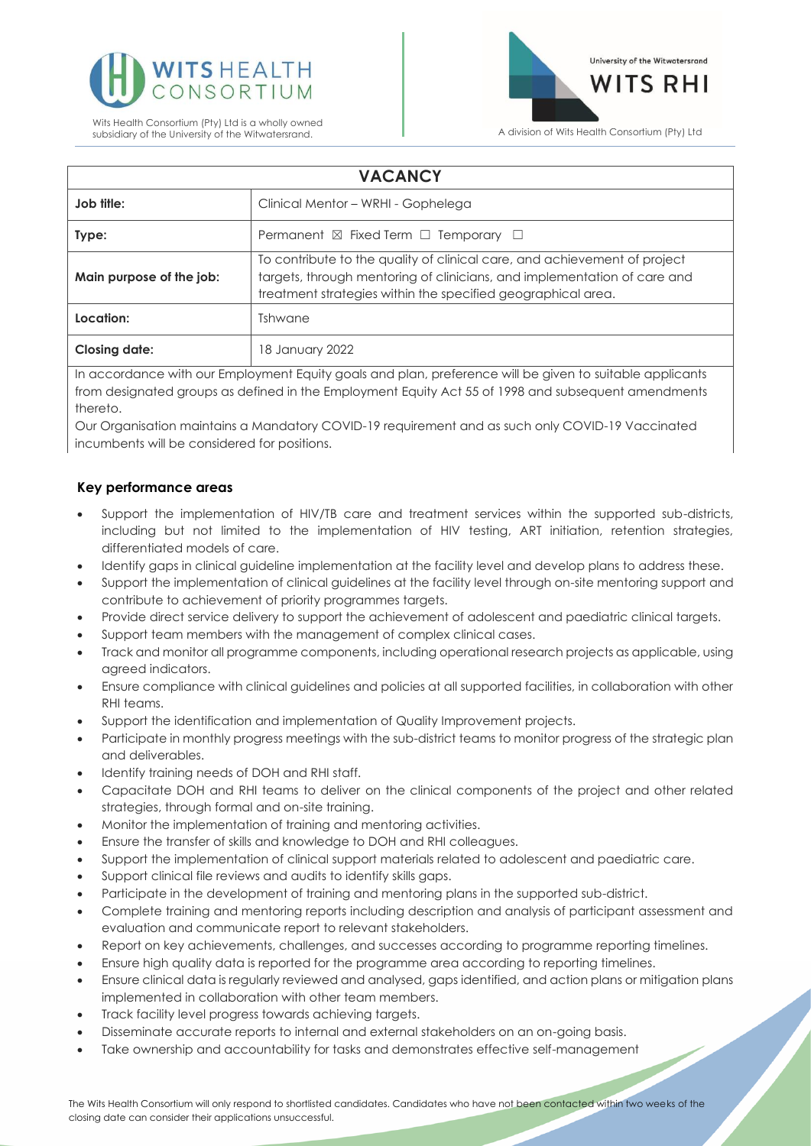



| <b>VACANCY</b>           |                                                                                                                                                                                                                       |
|--------------------------|-----------------------------------------------------------------------------------------------------------------------------------------------------------------------------------------------------------------------|
| Job title:               | Clinical Mentor - WRHI - Gophelega                                                                                                                                                                                    |
| Type:                    | Permanent $\boxtimes$ Fixed Term $\Box$ Temporary $\Box$                                                                                                                                                              |
| Main purpose of the job: | To contribute to the quality of clinical care, and achievement of project<br>targets, through mentoring of clinicians, and implementation of care and<br>treatment strategies within the specified geographical area. |
| Location:                | Tshwane                                                                                                                                                                                                               |
| <b>Closing date:</b>     | 18 January 2022                                                                                                                                                                                                       |

In accordance with our Employment Equity goals and plan, preference will be given to suitable applicants from designated groups as defined in the Employment Equity Act 55 of 1998 and subsequent amendments thereto.

Our Organisation maintains a Mandatory COVID-19 requirement and as such only COVID-19 Vaccinated incumbents will be considered for positions.

#### **Key performance areas**

- Support the implementation of HIV/TB care and treatment services within the supported sub-districts, including but not limited to the implementation of HIV testing, ART initiation, retention strategies, differentiated models of care.
- Identify gaps in clinical guideline implementation at the facility level and develop plans to address these.
- Support the implementation of clinical guidelines at the facility level through on-site mentoring support and contribute to achievement of priority programmes targets.
- Provide direct service delivery to support the achievement of adolescent and paediatric clinical targets.
- Support team members with the management of complex clinical cases.
- Track and monitor all programme components, including operational research projects as applicable, using agreed indicators.
- Ensure compliance with clinical guidelines and policies at all supported facilities, in collaboration with other RHI teams.
- Support the identification and implementation of Quality Improvement projects.
- Participate in monthly progress meetings with the sub-district teams to monitor progress of the strategic plan and deliverables.
- Identify training needs of DOH and RHI staff.
- Capacitate DOH and RHI teams to deliver on the clinical components of the project and other related strategies, through formal and on-site training.
- Monitor the implementation of training and mentoring activities.
- Ensure the transfer of skills and knowledge to DOH and RHI colleagues.
- Support the implementation of clinical support materials related to adolescent and paediatric care.
- Support clinical file reviews and audits to identify skills gaps.
- Participate in the development of training and mentoring plans in the supported sub-district.
- Complete training and mentoring reports including description and analysis of participant assessment and evaluation and communicate report to relevant stakeholders.
- Report on key achievements, challenges, and successes according to programme reporting timelines.
- Ensure high quality data is reported for the programme area according to reporting timelines.
- Ensure clinical data is regularly reviewed and analysed, gaps identified, and action plans or mitigation plans implemented in collaboration with other team members.
- Track facility level progress towards achieving targets.
- Disseminate accurate reports to internal and external stakeholders on an on-going basis.
- Take ownership and accountability for tasks and demonstrates effective self-management